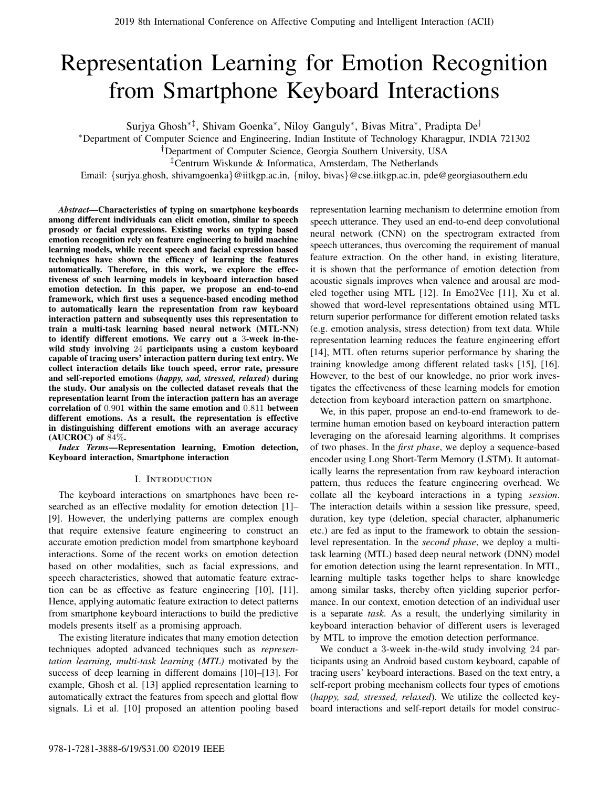# Representation Learning for Emotion Recognition from Smartphone Keyboard Interactions

Surjya Ghosh∗‡, Shivam Goenka<sup>∗</sup> , Niloy Ganguly<sup>∗</sup> , Bivas Mitra<sup>∗</sup> , Pradipta De†

<sup>∗</sup>Department of Computer Science and Engineering, Indian Institute of Technology Kharagpur, INDIA 721302

†Department of Computer Science, Georgia Southern University, USA

‡Centrum Wiskunde & Informatica, Amsterdam, The Netherlands

Email: {surjya.ghosh, shivamgoenka}@iitkgp.ac.in, {niloy, bivas}@cse.iitkgp.ac.in, pde@georgiasouthern.edu

*Abstract*—Characteristics of typing on smartphone keyboards among different individuals can elicit emotion, similar to speech prosody or facial expressions. Existing works on typing based emotion recognition rely on feature engineering to build machine learning models, while recent speech and facial expression based techniques have shown the efficacy of learning the features automatically. Therefore, in this work, we explore the effectiveness of such learning models in keyboard interaction based emotion detection. In this paper, we propose an end-to-end framework, which first uses a sequence-based encoding method to automatically learn the representation from raw keyboard interaction pattern and subsequently uses this representation to train a multi-task learning based neural network (MTL-NN) to identify different emotions. We carry out a 3-week in-thewild study involving 24 participants using a custom keyboard capable of tracing users' interaction pattern during text entry. We collect interaction details like touch speed, error rate, pressure and self-reported emotions (*happy, sad, stressed, relaxed*) during the study. Our analysis on the collected dataset reveals that the representation learnt from the interaction pattern has an average correlation of 0.901 within the same emotion and 0.811 between different emotions. As a result, the representation is effective in distinguishing different emotions with an average accuracy  $(AUCROC)$  of  $84\%$ .

*Index Terms*—Representation learning, Emotion detection, Keyboard interaction, Smartphone interaction

# I. INTRODUCTION

The keyboard interactions on smartphones have been researched as an effective modality for emotion detection [1]– [9]. However, the underlying patterns are complex enough that require extensive feature engineering to construct an accurate emotion prediction model from smartphone keyboard interactions. Some of the recent works on emotion detection based on other modalities, such as facial expressions, and speech characteristics, showed that automatic feature extraction can be as effective as feature engineering [10], [11]. Hence, applying automatic feature extraction to detect patterns from smartphone keyboard interactions to build the predictive models presents itself as a promising approach.

The existing literature indicates that many emotion detection techniques adopted advanced techniques such as *representation learning, multi-task learning (MTL)* motivated by the success of deep learning in different domains [10]–[13]. For example, Ghosh et al. [13] applied representation learning to automatically extract the features from speech and glottal flow signals. Li et al. [10] proposed an attention pooling based

representation learning mechanism to determine emotion from speech utterance. They used an end-to-end deep convolutional neural network (CNN) on the spectrogram extracted from speech utterances, thus overcoming the requirement of manual feature extraction. On the other hand, in existing literature, it is shown that the performance of emotion detection from acoustic signals improves when valence and arousal are modeled together using MTL [12]. In Emo2Vec [11], Xu et al. showed that word-level representations obtained using MTL return superior performance for different emotion related tasks (e.g. emotion analysis, stress detection) from text data. While representation learning reduces the feature engineering effort [14], MTL often returns superior performance by sharing the training knowledge among different related tasks [15], [16]. However, to the best of our knowledge, no prior work investigates the effectiveness of these learning models for emotion detection from keyboard interaction pattern on smartphone.

We, in this paper, propose an end-to-end framework to determine human emotion based on keyboard interaction pattern leveraging on the aforesaid learning algorithms. It comprises of two phases. In the *first phase*, we deploy a sequence-based encoder using Long Short-Term Memory (LSTM). It automatically learns the representation from raw keyboard interaction pattern, thus reduces the feature engineering overhead. We collate all the keyboard interactions in a typing *session*. The interaction details within a session like pressure, speed, duration, key type (deletion, special character, alphanumeric etc.) are fed as input to the framework to obtain the sessionlevel representation. In the *second phase*, we deploy a multitask learning (MTL) based deep neural network (DNN) model for emotion detection using the learnt representation. In MTL, learning multiple tasks together helps to share knowledge among similar tasks, thereby often yielding superior performance. In our context, emotion detection of an individual user is a separate *task*. As a result, the underlying similarity in keyboard interaction behavior of different users is leveraged by MTL to improve the emotion detection performance.

We conduct a 3-week in-the-wild study involving 24 participants using an Android based custom keyboard, capable of tracing users' keyboard interactions. Based on the text entry, a self-report probing mechanism collects four types of emotions (*happy, sad, stressed, relaxed*). We utilize the collected keyboard interactions and self-report details for model construc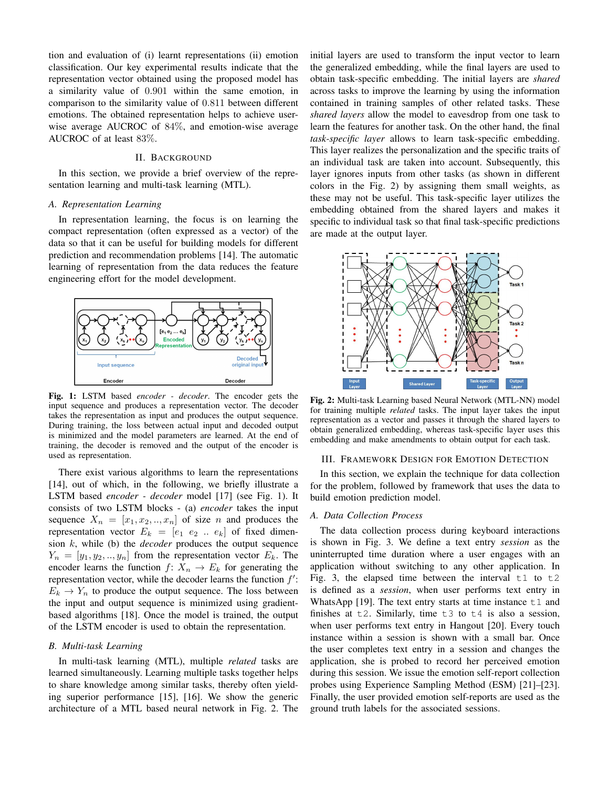tion and evaluation of (i) learnt representations (ii) emotion classification. Our key experimental results indicate that the representation vector obtained using the proposed model has a similarity value of 0.901 within the same emotion, in comparison to the similarity value of 0.811 between different emotions. The obtained representation helps to achieve userwise average AUCROC of 84%, and emotion-wise average AUCROC of at least 83%.

# II. BACKGROUND

In this section, we provide a brief overview of the representation learning and multi-task learning (MTL).

#### *A. Representation Learning*

In representation learning, the focus is on learning the compact representation (often expressed as a vector) of the data so that it can be useful for building models for different prediction and recommendation problems [14]. The automatic learning of representation from the data reduces the feature engineering effort for the model development.



Fig. 1: LSTM based *encoder - decoder*. The encoder gets the input sequence and produces a representation vector. The decoder takes the representation as input and produces the output sequence. During training, the loss between actual input and decoded output is minimized and the model parameters are learned. At the end of training, the decoder is removed and the output of the encoder is used as representation.

There exist various algorithms to learn the representations [14], out of which, in the following, we briefly illustrate a LSTM based *encoder - decoder* model [17] (see Fig. 1). It consists of two LSTM blocks - (a) *encoder* takes the input sequence  $X_n = [x_1, x_2, \ldots, x_n]$  of size n and produces the representation vector  $E_k = [e_1 \ e_2 \ ... \ e_k]$  of fixed dimension k, while (b) the *decoder* produces the output sequence  $Y_n = [y_1, y_2, \ldots, y_n]$  from the representation vector  $E_k$ . The encoder learns the function  $f: X_n \to E_k$  for generating the representation vector, while the decoder learns the function  $f'$ :  $E_k \to Y_n$  to produce the output sequence. The loss between the input and output sequence is minimized using gradientbased algorithms [18]. Once the model is trained, the output of the LSTM encoder is used to obtain the representation.

# *B. Multi-task Learning*

In multi-task learning (MTL), multiple *related* tasks are learned simultaneously. Learning multiple tasks together helps to share knowledge among similar tasks, thereby often yielding superior performance [15], [16]. We show the generic architecture of a MTL based neural network in Fig. 2. The initial layers are used to transform the input vector to learn the generalized embedding, while the final layers are used to obtain task-specific embedding. The initial layers are *shared* across tasks to improve the learning by using the information contained in training samples of other related tasks. These *shared layers* allow the model to eavesdrop from one task to learn the features for another task. On the other hand, the final *task-specific layer* allows to learn task-specific embedding. This layer realizes the personalization and the specific traits of an individual task are taken into account. Subsequently, this layer ignores inputs from other tasks (as shown in different colors in the Fig. 2) by assigning them small weights, as these may not be useful. This task-specific layer utilizes the embedding obtained from the shared layers and makes it specific to individual task so that final task-specific predictions are made at the output layer.



Fig. 2: Multi-task Learning based Neural Network (MTL-NN) model for training multiple *related* tasks. The input layer takes the input representation as a vector and passes it through the shared layers to obtain generalized embedding, whereas task-specific layer uses this embedding and make amendments to obtain output for each task.

# III. FRAMEWORK DESIGN FOR EMOTION DETECTION

In this section, we explain the technique for data collection for the problem, followed by framework that uses the data to build emotion prediction model.

#### *A. Data Collection Process*

The data collection process during keyboard interactions is shown in Fig. 3. We define a text entry *session* as the uninterrupted time duration where a user engages with an application without switching to any other application. In Fig. 3, the elapsed time between the interval  $t1$  to  $t2$ is defined as a *session*, when user performs text entry in WhatsApp [19]. The text entry starts at time instance  $\pm 1$  and finishes at  $\pm 2$ . Similarly, time  $\pm 3$  to  $\pm 4$  is also a session, when user performs text entry in Hangout [20]. Every touch instance within a session is shown with a small bar. Once the user completes text entry in a session and changes the application, she is probed to record her perceived emotion during this session. We issue the emotion self-report collection probes using Experience Sampling Method (ESM) [21]–[23]. Finally, the user provided emotion self-reports are used as the ground truth labels for the associated sessions.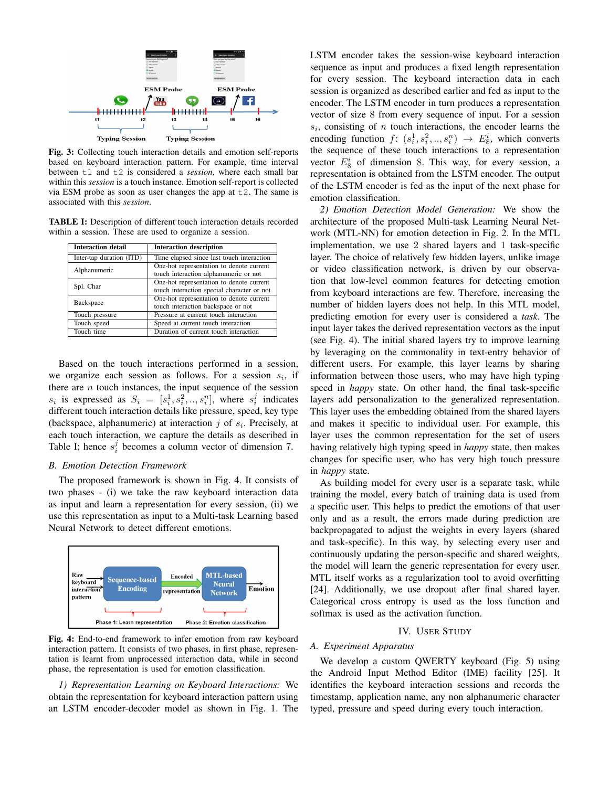

Fig. 3: Collecting touch interaction details and emotion self-reports based on keyboard interaction pattern. For example, time interval between t1 and t2 is considered a *session*, where each small bar within this *session* is a touch instance. Emotion self-report is collected via ESM probe as soon as user changes the app at  $\pm 2$ . The same is associated with this *session*.

TABLE I: Description of different touch interaction details recorded within a session. These are used to organize a session.

| <b>Interaction detail</b> | <b>Interaction description</b>                                                         |  |  |
|---------------------------|----------------------------------------------------------------------------------------|--|--|
| Inter-tap duration (ITD)  | Time elapsed since last touch interaction                                              |  |  |
| Alphanumeric              | One-hot representation to denote current<br>touch interaction alphanumeric or not      |  |  |
| Spl. Char                 | One-hot representation to denote current<br>touch interaction special character or not |  |  |
| Backspace                 | One-hot representation to denote current<br>touch interaction backspace or not         |  |  |
| Touch pressure            | Pressure at current touch interaction                                                  |  |  |
| Touch speed               | Speed at current touch interaction                                                     |  |  |
| Touch time                | Duration of current touch interaction                                                  |  |  |

Based on the touch interactions performed in a session, we organize each session as follows. For a session  $s_i$ , if there are  $n$  touch instances, the input sequence of the session  $s_i$  is expressed as  $S_i = [s_i^1, s_i^2, ..., s_i^n]$ , where  $s_i^j$  indicates different touch interaction details like pressure, speed, key type (backspace, alphanumeric) at interaction  $j$  of  $s_i$ . Precisely, at each touch interaction, we capture the details as described in Table I; hence  $s_i^j$  becomes a column vector of dimension 7.

## *B. Emotion Detection Framework*

The proposed framework is shown in Fig. 4. It consists of two phases - (i) we take the raw keyboard interaction data as input and learn a representation for every session, (ii) we use this representation as input to a Multi-task Learning based Neural Network to detect different emotions.



Fig. 4: End-to-end framework to infer emotion from raw keyboard interaction pattern. It consists of two phases, in first phase, representation is learnt from unprocessed interaction data, while in second phase, the representation is used for emotion classification.

*1) Representation Learning on Keyboard Interactions:* We obtain the representation for keyboard interaction pattern using an LSTM encoder-decoder model as shown in Fig. 1. The LSTM encoder takes the session-wise keyboard interaction sequence as input and produces a fixed length representation for every session. The keyboard interaction data in each session is organized as described earlier and fed as input to the encoder. The LSTM encoder in turn produces a representation vector of size 8 from every sequence of input. For a session  $s_i$ , consisting of  $n$  touch interactions, the encoder learns the encoding function  $f: (s_i^1, s_i^2, \ldots, s_i^n) \rightarrow E_8^i$ , which converts the sequence of these touch interactions to a representation vector  $E_8^i$  of dimension 8. This way, for every session, a representation is obtained from the LSTM encoder. The output of the LSTM encoder is fed as the input of the next phase for emotion classification.

*2) Emotion Detection Model Generation:* We show the architecture of the proposed Multi-task Learning Neural Network (MTL-NN) for emotion detection in Fig. 2. In the MTL implementation, we use 2 shared layers and 1 task-specific layer. The choice of relatively few hidden layers, unlike image or video classification network, is driven by our observation that low-level common features for detecting emotion from keyboard interactions are few. Therefore, increasing the number of hidden layers does not help. In this MTL model, predicting emotion for every user is considered a *task*. The input layer takes the derived representation vectors as the input (see Fig. 4). The initial shared layers try to improve learning by leveraging on the commonality in text-entry behavior of different users. For example, this layer learns by sharing information between those users, who may have high typing speed in *happy* state. On other hand, the final task-specific layers add personalization to the generalized representation. This layer uses the embedding obtained from the shared layers and makes it specific to individual user. For example, this layer uses the common representation for the set of users having relatively high typing speed in *happy* state, then makes changes for specific user, who has very high touch pressure in *happy* state.

As building model for every user is a separate task, while training the model, every batch of training data is used from a specific user. This helps to predict the emotions of that user only and as a result, the errors made during prediction are backpropagated to adjust the weights in every layers (shared and task-specific). In this way, by selecting every user and continuously updating the person-specific and shared weights, the model will learn the generic representation for every user. MTL itself works as a regularization tool to avoid overfitting [24]. Additionally, we use dropout after final shared layer. Categorical cross entropy is used as the loss function and softmax is used as the activation function.

#### IV. USER STUDY

# *A. Experiment Apparatus*

We develop a custom QWERTY keyboard (Fig. 5) using the Android Input Method Editor (IME) facility [25]. It identifies the keyboard interaction sessions and records the timestamp, application name, any non alphanumeric character typed, pressure and speed during every touch interaction.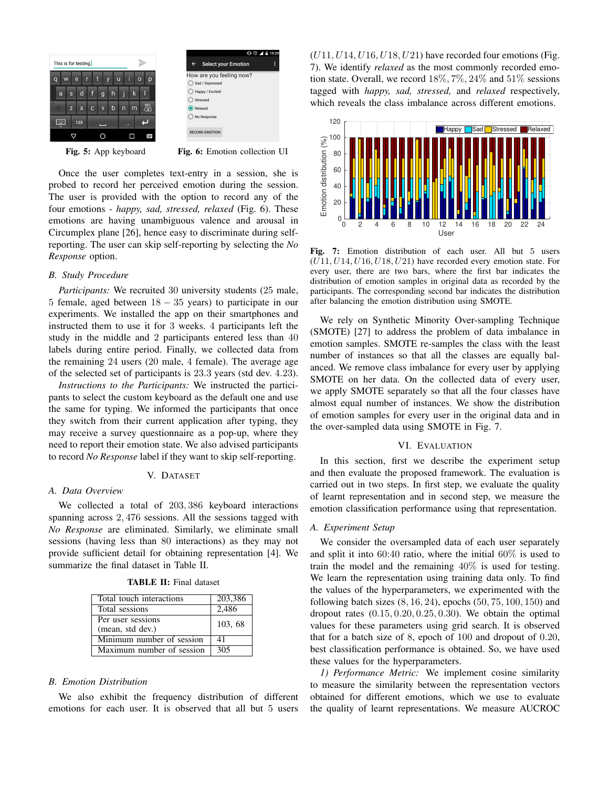| This is for testing.                       |              |                           |              |                         |             |   |   |                                |  |
|--------------------------------------------|--------------|---------------------------|--------------|-------------------------|-------------|---|---|--------------------------------|--|
| i<br>r<br>e<br>q<br>u<br>$\circ$<br>W<br>р |              |                           |              |                         |             |   |   |                                |  |
| a                                          | $\mathbf{s}$ | d                         | f            | g                       | h           |   | k | I                              |  |
| ١                                          | $\mathsf{z}$ | $\boldsymbol{\mathsf{x}}$ | $\mathbf{C}$ | $\overline{\mathsf{v}}$ | $\mathsf b$ | n | m | DEI<br>$\overline{\mathbf{x}}$ |  |
|                                            |              | 123                       |              |                         |             |   |   |                                |  |
|                                            |              |                           |              |                         |             |   |   |                                |  |

Select your Emotion How are you feeling now?  $\bigcap$  Sad / Do  $\bigcirc$  Happy / Excited  $\bigcirc$  Stresser  $\bigcirc$  Relaxed ◯ No Respons **RECORD EMOTION** 

Fig. 5: App keyboard Fig. 6: Emotion collection UI

Once the user completes text-entry in a session, she is probed to record her perceived emotion during the session. The user is provided with the option to record any of the four emotions - *happy, sad, stressed, relaxed* (Fig. 6). These emotions are having unambiguous valence and arousal in Circumplex plane [26], hence easy to discriminate during selfreporting. The user can skip self-reporting by selecting the *No Response* option.

# *B. Study Procedure*

*Participants:* We recruited 30 university students (25 male, 5 female, aged between  $18 - 35$  years) to participate in our experiments. We installed the app on their smartphones and instructed them to use it for 3 weeks. 4 participants left the study in the middle and 2 participants entered less than 40 labels during entire period. Finally, we collected data from the remaining 24 users (20 male, 4 female). The average age of the selected set of participants is 23.3 years (std dev. 4.23).

*Instructions to the Participants:* We instructed the participants to select the custom keyboard as the default one and use the same for typing. We informed the participants that once they switch from their current application after typing, they may receive a survey questionnaire as a pop-up, where they need to report their emotion state. We also advised participants to record *No Response* label if they want to skip self-reporting.

# V. DATASET

# *A. Data Overview*

We collected a total of 203, 386 keyboard interactions spanning across 2, 476 sessions. All the sessions tagged with *No Response* are eliminated. Similarly, we eliminate small sessions (having less than 80 interactions) as they may not provide sufficient detail for obtaining representation [4]. We summarize the final dataset in Table II.

| <b>TABLE II:</b> Final dataset |  |  |
|--------------------------------|--|--|
|--------------------------------|--|--|

| Total touch interactions  | 203,386 |  |
|---------------------------|---------|--|
| Total sessions            | 2.486   |  |
| Per user sessions         | 103, 68 |  |
| (mean, std dev.)          |         |  |
| Minimum number of session | 41      |  |
| Maximum number of session | 305     |  |

# *B. Emotion Distribution*

We also exhibit the frequency distribution of different emotions for each user. It is observed that all but 5 users  $(U11, U14, U16, U18, U21)$  have recorded four emotions (Fig. 7). We identify *relaxed* as the most commonly recorded emotion state. Overall, we record 18%, 7%, 24% and 51% sessions tagged with *happy, sad, stressed,* and *relaxed* respectively, which reveals the class imbalance across different emotions.



Fig. 7: Emotion distribution of each user. All but 5 users  $(U11, U14, U16, U18, U21)$  have recorded every emotion state. For every user, there are two bars, where the first bar indicates the distribution of emotion samples in original data as recorded by the participants. The corresponding second bar indicates the distribution after balancing the emotion distribution using SMOTE.

We rely on Synthetic Minority Over-sampling Technique (SMOTE) [27] to address the problem of data imbalance in emotion samples. SMOTE re-samples the class with the least number of instances so that all the classes are equally balanced. We remove class imbalance for every user by applying SMOTE on her data. On the collected data of every user, we apply SMOTE separately so that all the four classes have almost equal number of instances. We show the distribution of emotion samples for every user in the original data and in the over-sampled data using SMOTE in Fig. 7.

### VI. EVALUATION

In this section, first we describe the experiment setup and then evaluate the proposed framework. The evaluation is carried out in two steps. In first step, we evaluate the quality of learnt representation and in second step, we measure the emotion classification performance using that representation.

## *A. Experiment Setup*

We consider the oversampled data of each user separately and split it into 60:40 ratio, where the initial 60% is used to train the model and the remaining 40% is used for testing. We learn the representation using training data only. To find the values of the hyperparameters, we experimented with the following batch sizes  $(8, 16, 24)$ , epochs  $(50, 75, 100, 150)$  and dropout rates  $(0.15, 0.20, 0.25, 0.30)$ . We obtain the optimal values for these parameters using grid search. It is observed that for a batch size of 8, epoch of 100 and dropout of 0.20, best classification performance is obtained. So, we have used these values for the hyperparameters.

*1) Performance Metric:* We implement cosine similarity to measure the similarity between the representation vectors obtained for different emotions, which we use to evaluate the quality of learnt representations. We measure AUCROC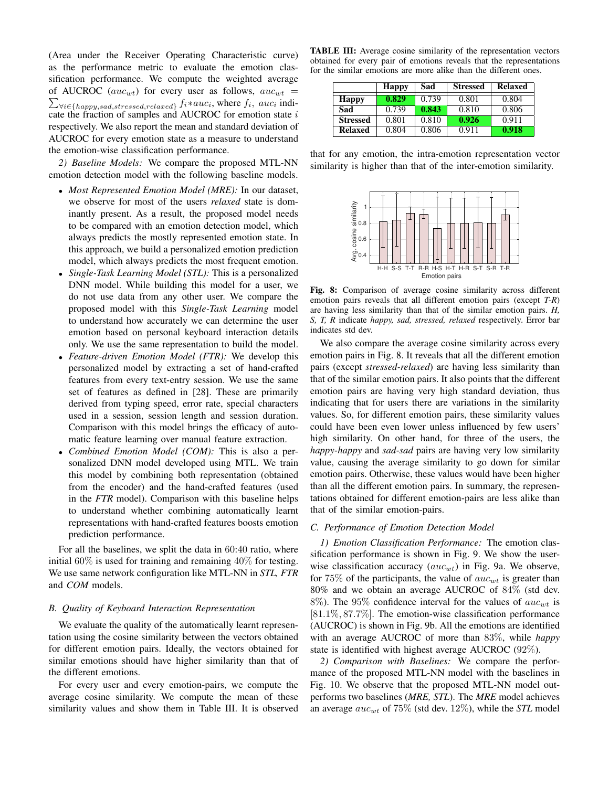(Area under the Receiver Operating Characteristic curve) as the performance metric to evaluate the emotion classification performance. We compute the weighted average of AUCROC (auc<sub>wt</sub>) for every user as follows,  $auc_{wt}$  =  $\sum_{\forall i \in \{happy,sad,stressed,relaxed\}} f_i * auc_i$ , where  $f_i$ , auc<sub>i</sub> indicate the fraction of samples and AUCROC for emotion state  $i$ respectively. We also report the mean and standard deviation of AUCROC for every emotion state as a measure to understand the emotion-wise classification performance.

*2) Baseline Models:* We compare the proposed MTL-NN emotion detection model with the following baseline models.

- *Most Represented Emotion Model (MRE):* In our dataset, we observe for most of the users *relaxed* state is dominantly present. As a result, the proposed model needs to be compared with an emotion detection model, which always predicts the mostly represented emotion state. In this approach, we build a personalized emotion prediction model, which always predicts the most frequent emotion.
- *Single-Task Learning Model (STL):* This is a personalized DNN model. While building this model for a user, we do not use data from any other user. We compare the proposed model with this *Single-Task Learning* model to understand how accurately we can determine the user emotion based on personal keyboard interaction details only. We use the same representation to build the model.
- *Feature-driven Emotion Model (FTR):* We develop this personalized model by extracting a set of hand-crafted features from every text-entry session. We use the same set of features as defined in [28]. These are primarily derived from typing speed, error rate, special characters used in a session, session length and session duration. Comparison with this model brings the efficacy of automatic feature learning over manual feature extraction.
- *Combined Emotion Model (COM):* This is also a personalized DNN model developed using MTL. We train this model by combining both representation (obtained from the encoder) and the hand-crafted features (used in the *FTR* model). Comparison with this baseline helps to understand whether combining automatically learnt representations with hand-crafted features boosts emotion prediction performance.

For all the baselines, we split the data in 60:40 ratio, where initial 60% is used for training and remaining 40% for testing. We use same network configuration like MTL-NN in *STL, FTR* and *COM* models.

# *B. Quality of Keyboard Interaction Representation*

We evaluate the quality of the automatically learnt representation using the cosine similarity between the vectors obtained for different emotion pairs. Ideally, the vectors obtained for similar emotions should have higher similarity than that of the different emotions.

For every user and every emotion-pairs, we compute the average cosine similarity. We compute the mean of these similarity values and show them in Table III. It is observed

TABLE III: Average cosine similarity of the representation vectors obtained for every pair of emotions reveals that the representations for the similar emotions are more alike than the different ones.

|                 | <b>Happy</b> | Sad   | <b>Stressed</b> | <b>Relaxed</b> |
|-----------------|--------------|-------|-----------------|----------------|
| <b>Happy</b>    | 0.829        | 0.739 | 0.801           | 0.804          |
| Sad             | 0.739        | 0.843 | 0.810           | 0.806          |
| <b>Stressed</b> | 0.801        | 0.810 | 0.926           | 0.911          |
| <b>Relaxed</b>  | 0.804        | 0.806 | 0.911           | 0.918          |

that for any emotion, the intra-emotion representation vector similarity is higher than that of the inter-emotion similarity.



Fig. 8: Comparison of average cosine similarity across different emotion pairs reveals that all different emotion pairs (except *T-R*) are having less similarity than that of the similar emotion pairs. *H, S, T, R* indicate *happy, sad, stressed, relaxed* respectively. Error bar indicates std dev.

We also compare the average cosine similarity across every emotion pairs in Fig. 8. It reveals that all the different emotion pairs (except *stressed-relaxed*) are having less similarity than that of the similar emotion pairs. It also points that the different emotion pairs are having very high standard deviation, thus indicating that for users there are variations in the similarity values. So, for different emotion pairs, these similarity values could have been even lower unless influenced by few users' high similarity. On other hand, for three of the users, the *happy-happy* and *sad-sad* pairs are having very low similarity value, causing the average similarity to go down for similar emotion pairs. Otherwise, these values would have been higher than all the different emotion pairs. In summary, the representations obtained for different emotion-pairs are less alike than that of the similar emotion-pairs.

# *C. Performance of Emotion Detection Model*

*1) Emotion Classification Performance:* The emotion classification performance is shown in Fig. 9. We show the userwise classification accuracy  $(auc_{wt})$  in Fig. 9a. We observe, for 75% of the participants, the value of  $auc_{wt}$  is greater than 80% and we obtain an average AUCROC of 84% (std dev. 8%). The 95% confidence interval for the values of  $auc_{wt}$  is [81.1%, 87.7%]. The emotion-wise classification performance (AUCROC) is shown in Fig. 9b. All the emotions are identified with an average AUCROC of more than 83%, while *happy* state is identified with highest average AUCROC (92%).

*2) Comparison with Baselines:* We compare the performance of the proposed MTL-NN model with the baselines in Fig. 10. We observe that the proposed MTL-NN model outperforms two baselines (*MRE, STL*). The *MRE* model achieves an average  $auc_{wt}$  of 75% (std dev. 12%), while the *STL* model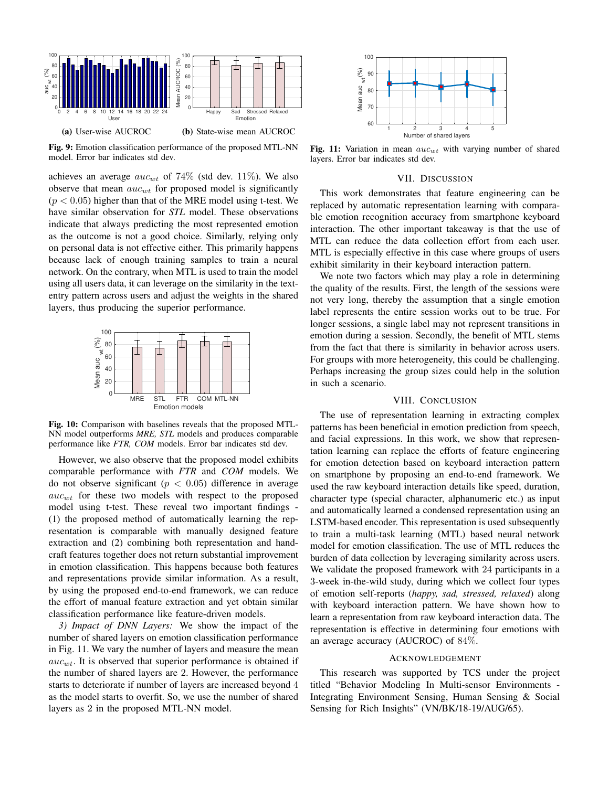

Fig. 9: Emotion classification performance of the proposed MTL-NN model. Error bar indicates std dev.

achieves an average  $auc<sub>wt</sub>$  of 74% (std dev. 11%). We also observe that mean  $auc_{wt}$  for proposed model is significantly  $(p < 0.05)$  higher than that of the MRE model using t-test. We have similar observation for *STL* model. These observations indicate that always predicting the most represented emotion as the outcome is not a good choice. Similarly, relying only on personal data is not effective either. This primarily happens because lack of enough training samples to train a neural network. On the contrary, when MTL is used to train the model using all users data, it can leverage on the similarity in the textentry pattern across users and adjust the weights in the shared layers, thus producing the superior performance.



Fig. 10: Comparison with baselines reveals that the proposed MTL-NN model outperforms *MRE, STL* models and produces comparable performance like *FTR, COM* models. Error bar indicates std dev.

However, we also observe that the proposed model exhibits comparable performance with *FTR* and *COM* models. We do not observe significant ( $p < 0.05$ ) difference in average  $auc_{wt}$  for these two models with respect to the proposed model using t-test. These reveal two important findings - (1) the proposed method of automatically learning the representation is comparable with manually designed feature extraction and (2) combining both representation and handcraft features together does not return substantial improvement in emotion classification. This happens because both features and representations provide similar information. As a result, by using the proposed end-to-end framework, we can reduce the effort of manual feature extraction and yet obtain similar classification performance like feature-driven models.

*3) Impact of DNN Layers:* We show the impact of the number of shared layers on emotion classification performance in Fig. 11. We vary the number of layers and measure the mean  $auc<sub>wt</sub>$ . It is observed that superior performance is obtained if the number of shared layers are 2. However, the performance starts to deteriorate if number of layers are increased beyond 4 as the model starts to overfit. So, we use the number of shared



Fig. 11: Variation in mean  $auc_{wt}$  with varying number of shared layers. Error bar indicates std dev.

## VII. DISCUSSION

This work demonstrates that feature engineering can be replaced by automatic representation learning with comparable emotion recognition accuracy from smartphone keyboard interaction. The other important takeaway is that the use of MTL can reduce the data collection effort from each user. MTL is especially effective in this case where groups of users exhibit similarity in their keyboard interaction pattern.

We note two factors which may play a role in determining the quality of the results. First, the length of the sessions were not very long, thereby the assumption that a single emotion label represents the entire session works out to be true. For longer sessions, a single label may not represent transitions in emotion during a session. Secondly, the benefit of MTL stems from the fact that there is similarity in behavior across users. For groups with more heterogeneity, this could be challenging. Perhaps increasing the group sizes could help in the solution in such a scenario.

# VIII. CONCLUSION

(a) User-ne altic OKO User-ne is consider the proposed MTL-NN model. The proposed MTL-NN model and the proposed MTL-NN model and the proposed MTL-NN model and the proposed MTL-NN model and the proposed MTL-NN model and th The use of representation learning in extracting complex patterns has been beneficial in emotion prediction from speech, and facial expressions. In this work, we show that representation learning can replace the efforts of feature engineering for emotion detection based on keyboard interaction pattern on smartphone by proposing an end-to-end framework. We used the raw keyboard interaction details like speed, duration, character type (special character, alphanumeric etc.) as input and automatically learned a condensed representation using an LSTM-based encoder. This representation is used subsequently to train a multi-task learning (MTL) based neural network model for emotion classification. The use of MTL reduces the burden of data collection by leveraging similarity across users. We validate the proposed framework with 24 participants in a 3-week in-the-wild study, during which we collect four types of emotion self-reports (*happy, sad, stressed, relaxed*) along with keyboard interaction pattern. We have shown how to learn a representation from raw keyboard interaction data. The representation is effective in determining four emotions with an average accuracy (AUCROC) of 84%.

# ACKNOWLEDGEMENT

This research was supported by TCS under the project titled "Behavior Modeling In Multi-sensor Environments - Integrating Environment Sensing, Human Sensing & Social Sensing for Rich Insights" (VN/BK/18-19/AUG/65).